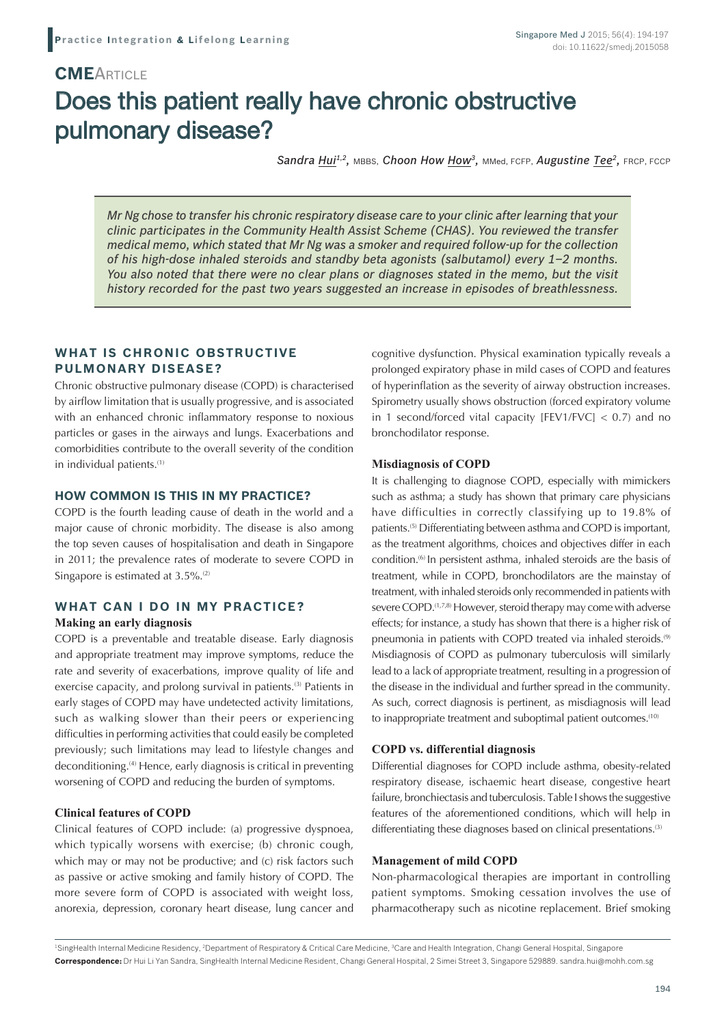# **CME**Article Does this patient really have chronic obstructive pulmonary disease?

*Sandra Hui1,2,* MBBS, *Choon How How3,* MMed, FCFP, *Augustine Tee2,* FRCP, FCCP

*Mr Ng chose to transfer his chronic respiratory disease care to your clinic after learning that your clinic participates in the Community Health Assist Scheme (CHAS). You reviewed the transfer medical memo, which stated that Mr Ng was a smoker and required follow-up for the collection of his high-dose inhaled steroids and standby beta agonists (salbutamol) every 1–2 months. You also noted that there were no clear plans or diagnoses stated in the memo, but the visit history recorded for the past two years suggested an increase in episodes of breathlessness.*

## **WHAT IS CHRONIC OBSTRUCTIVE PULMONARY DISEASE?**

Chronic obstructive pulmonary disease (COPD) is characterised by airflow limitation that is usually progressive, and is associated with an enhanced chronic inflammatory response to noxious particles or gases in the airways and lungs. Exacerbations and comorbidities contribute to the overall severity of the condition in individual patients.<sup>(1)</sup>

#### **HOW COMMON IS THIS IN MY PRACTICE?**

COPD is the fourth leading cause of death in the world and a major cause of chronic morbidity. The disease is also among the top seven causes of hospitalisation and death in Singapore in 2011; the prevalence rates of moderate to severe COPD in Singapore is estimated at 3.5%.<sup>(2)</sup>

## **WHAT CAN I DO IN MY PRACTICE?**

#### **Making an early diagnosis**

COPD is a preventable and treatable disease. Early diagnosis and appropriate treatment may improve symptoms, reduce the rate and severity of exacerbations, improve quality of life and exercise capacity, and prolong survival in patients.<sup>(3)</sup> Patients in early stages of COPD may have undetected activity limitations, such as walking slower than their peers or experiencing difficulties in performing activities that could easily be completed previously; such limitations may lead to lifestyle changes and deconditioning.(4) Hence, early diagnosis is critical in preventing worsening of COPD and reducing the burden of symptoms.

### **Clinical features of COPD**

Clinical features of COPD include: (a) progressive dyspnoea, which typically worsens with exercise; (b) chronic cough, which may or may not be productive; and (c) risk factors such as passive or active smoking and family history of COPD. The more severe form of COPD is associated with weight loss, anorexia, depression, coronary heart disease, lung cancer and cognitive dysfunction. Physical examination typically reveals a prolonged expiratory phase in mild cases of COPD and features of hyperinflation as the severity of airway obstruction increases. Spirometry usually shows obstruction (forced expiratory volume in 1 second/forced vital capacity [FEV1/FVC]  $<$  0.7) and no bronchodilator response.

#### **Misdiagnosis of COPD**

It is challenging to diagnose COPD, especially with mimickers such as asthma; a study has shown that primary care physicians have difficulties in correctly classifying up to 19.8% of patients.(5) Differentiating between asthma and COPD is important, as the treatment algorithms, choices and objectives differ in each condition.(6) In persistent asthma, inhaled steroids are the basis of treatment, while in COPD, bronchodilators are the mainstay of treatment, with inhaled steroids only recommended in patients with severe COPD.<sup>(1,7,8)</sup> However, steroid therapy may come with adverse effects; for instance, a study has shown that there is a higher risk of pneumonia in patients with COPD treated via inhaled steroids.<sup>(9)</sup> Misdiagnosis of COPD as pulmonary tuberculosis will similarly lead to a lack of appropriate treatment, resulting in a progression of the disease in the individual and further spread in the community. As such, correct diagnosis is pertinent, as misdiagnosis will lead to inappropriate treatment and suboptimal patient outcomes.<sup>(10)</sup>

#### **COPD vs. differential diagnosis**

Differential diagnoses for COPD include asthma, obesity-related respiratory disease, ischaemic heart disease, congestive heart failure, bronchiectasis and tuberculosis. Table I shows the suggestive features of the aforementioned conditions, which will help in differentiating these diagnoses based on clinical presentations.<sup>(3)</sup>

#### **Management of mild COPD**

Non-pharmacological therapies are important in controlling patient symptoms. Smoking cessation involves the use of pharmacotherapy such as nicotine replacement. Brief smoking

<sup>1</sup>SingHealth Internal Medicine Residency, <sup>2</sup>Department of Respiratory & Critical Care Medicine, <sup>3</sup>Care and Health Integration, Changi General Hospital, Singapore **Correspondence:** Dr Hui Li Yan Sandra, SingHealth Internal Medicine Resident, Changi General Hospital, 2 Simei Street 3, Singapore 529889. sandra.hui@mohh.com.sg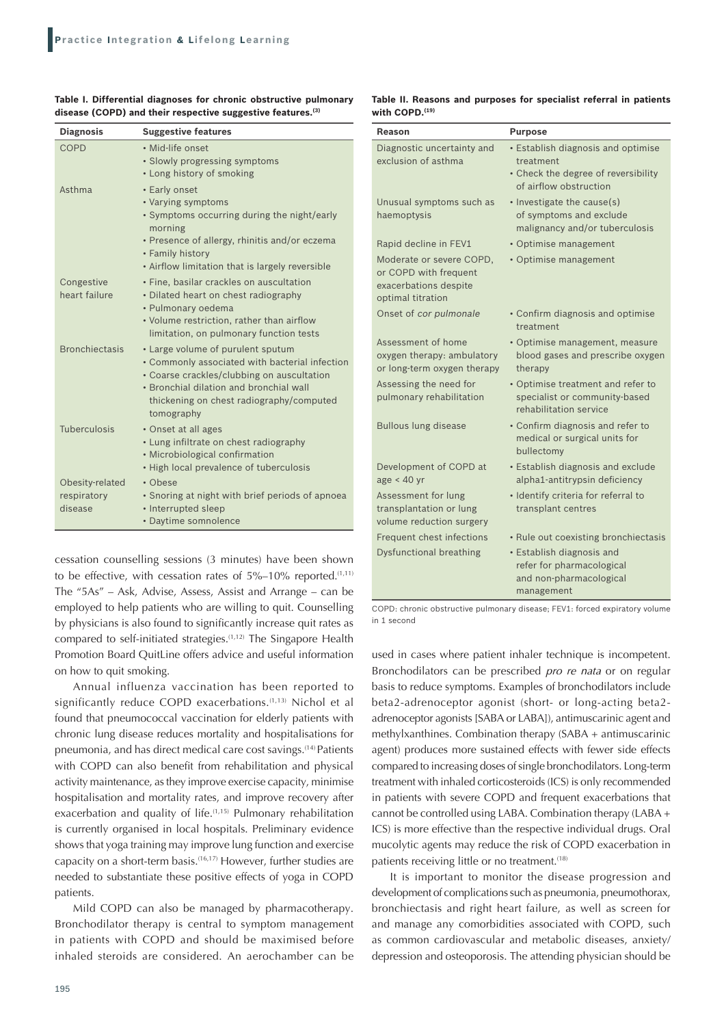| <b>Diagnosis</b>                          | <b>Suggestive features</b>                                                                                                                                                                                                             |
|-------------------------------------------|----------------------------------------------------------------------------------------------------------------------------------------------------------------------------------------------------------------------------------------|
| COPD                                      | • Mid-life onset<br>• Slowly progressing symptoms<br>• Long history of smoking                                                                                                                                                         |
| Asthma                                    | • Early onset<br>• Varying symptoms<br>• Symptoms occurring during the night/early<br>morning<br>• Presence of allergy, rhinitis and/or eczema<br>• Family history<br>• Airflow limitation that is largely reversible                  |
| Congestive<br>heart failure               | • Fine, basilar crackles on auscultation<br>• Dilated heart on chest radiography<br>• Pulmonary oedema<br>• Volume restriction, rather than airflow<br>limitation, on pulmonary function tests                                         |
| <b>Bronchiectasis</b>                     | • Large volume of purulent sputum<br>• Commonly associated with bacterial infection<br>• Coarse crackles/clubbing on auscultation<br>• Bronchial dilation and bronchial wall<br>thickening on chest radiography/computed<br>tomography |
| Tuberculosis                              | • Onset at all ages<br>• Lung infiltrate on chest radiography<br>• Microbiological confirmation<br>• High local prevalence of tuberculosis                                                                                             |
| Obesity-related<br>respiratory<br>disease | • Obese<br>• Snoring at night with brief periods of apnoea<br>• Interrupted sleep<br>• Daytime somnolence                                                                                                                              |

**Table I. Differential diagnoses for chronic obstructive pulmonary disease (COPD) and their respective suggestive features.(3)**

cessation counselling sessions (3 minutes) have been shown to be effective, with cessation rates of  $5\%$ –10% reported.<sup>(1,11)</sup> The "5As" – Ask, Advise, Assess, Assist and Arrange – can be employed to help patients who are willing to quit. Counselling by physicians is also found to significantly increase quit rates as compared to self-initiated strategies.(1,12) The Singapore Health Promotion Board QuitLine offers advice and useful information on how to quit smoking.

Annual influenza vaccination has been reported to significantly reduce COPD exacerbations.<sup>(1,13)</sup> Nichol et al found that pneumococcal vaccination for elderly patients with chronic lung disease reduces mortality and hospitalisations for pneumonia, and has direct medical care cost savings.(14) Patients with COPD can also benefit from rehabilitation and physical activity maintenance, as they improve exercise capacity, minimise hospitalisation and mortality rates, and improve recovery after exacerbation and quality of life.<sup>(1,15)</sup> Pulmonary rehabilitation is currently organised in local hospitals. Preliminary evidence shows that yoga training may improve lung function and exercise capacity on a short-term basis.(16,17) However, further studies are needed to substantiate these positive effects of yoga in COPD patients.

Mild COPD can also be managed by pharmacotherapy. Bronchodilator therapy is central to symptom management in patients with COPD and should be maximised before inhaled steroids are considered. An aerochamber can be

| Table II. Reasons and purposes for specialist referral in patients |  |  |  |  |
|--------------------------------------------------------------------|--|--|--|--|
| with $\text{COPD}.^{\text{(19)}}$                                  |  |  |  |  |

| Reason                                                                                          | <b>Purpose</b>                                                                                                   |
|-------------------------------------------------------------------------------------------------|------------------------------------------------------------------------------------------------------------------|
| Diagnostic uncertainty and<br>exclusion of asthma                                               | • Establish diagnosis and optimise<br>treatment<br>• Check the degree of reversibility<br>of airflow obstruction |
| Unusual symptoms such as<br>haemoptysis                                                         | • Investigate the cause(s)<br>of symptoms and exclude<br>malignancy and/or tuberculosis                          |
| Rapid decline in FEV1                                                                           | · Optimise management                                                                                            |
| Moderate or severe COPD,<br>or COPD with frequent<br>exacerbations despite<br>optimal titration | • Optimise management                                                                                            |
| Onset of cor pulmonale                                                                          | • Confirm diagnosis and optimise<br>treatment                                                                    |
| Assessment of home<br>oxygen therapy: ambulatory<br>or long-term oxygen therapy                 | • Optimise management, measure<br>blood gases and prescribe oxygen<br>therapy                                    |
| Assessing the need for<br>pulmonary rehabilitation                                              | • Optimise treatment and refer to<br>specialist or community-based<br>rehabilitation service                     |
| <b>Bullous lung disease</b>                                                                     | • Confirm diagnosis and refer to<br>medical or surgical units for<br>bullectomy                                  |
| Development of COPD at<br>age < 40 yr                                                           | • Establish diagnosis and exclude<br>alpha1-antitrypsin deficiency                                               |
| Assessment for lung<br>transplantation or lung<br>volume reduction surgery                      | · Identify criteria for referral to<br>transplant centres                                                        |
| Frequent chest infections                                                                       | • Rule out coexisting bronchiectasis                                                                             |
| Dysfunctional breathing                                                                         | • Establish diagnosis and<br>refer for pharmacological<br>and non-pharmacological<br>management                  |

COPD: chronic obstructive pulmonary disease; FEV1: forced expiratory volume in 1 second

used in cases where patient inhaler technique is incompetent. Bronchodilators can be prescribed *pro re nata* or on regular basis to reduce symptoms. Examples of bronchodilators include beta2-adrenoceptor agonist (short- or long-acting beta2 adrenoceptor agonists [SABA or LABA]), antimuscarinic agent and methylxanthines. Combination therapy (SABA + antimuscarinic agent) produces more sustained effects with fewer side effects compared to increasing doses of single bronchodilators. Long-term treatment with inhaled corticosteroids (ICS) is only recommended in patients with severe COPD and frequent exacerbations that cannot be controlled using LABA. Combination therapy (LABA + ICS) is more effective than the respective individual drugs. Oral mucolytic agents may reduce the risk of COPD exacerbation in patients receiving little or no treatment.<sup>(18)</sup>

It is important to monitor the disease progression and development of complications such as pneumonia, pneumothorax, bronchiectasis and right heart failure, as well as screen for and manage any comorbidities associated with COPD, such as common cardiovascular and metabolic diseases, anxiety/ depression and osteoporosis. The attending physician should be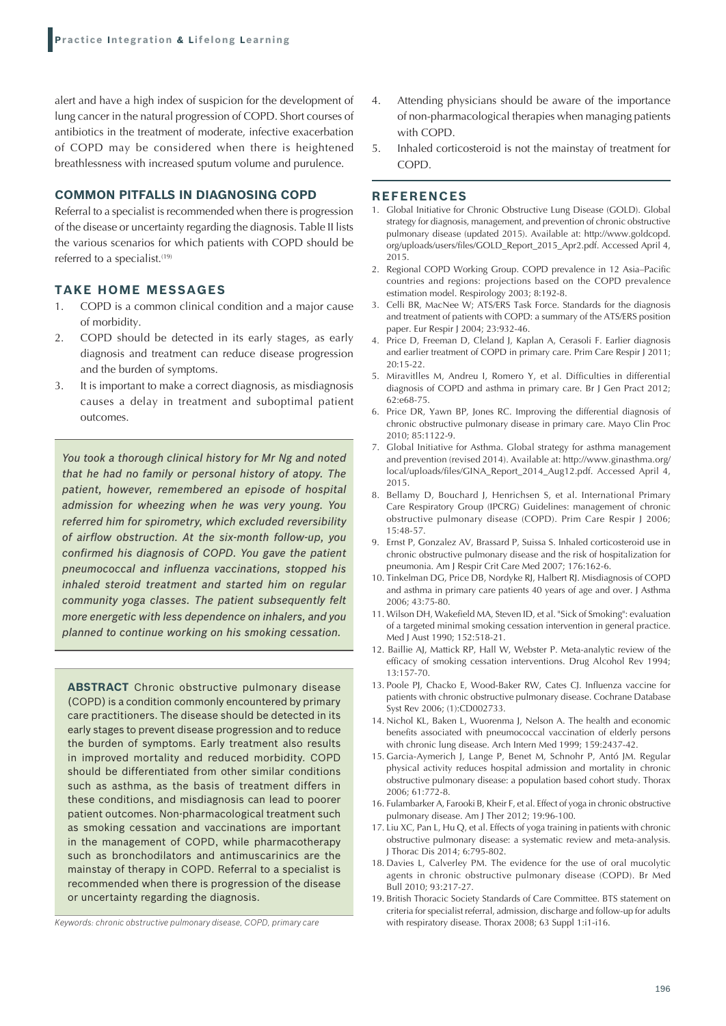alert and have a high index of suspicion for the development of lung cancer in the natural progression of COPD. Short courses of antibiotics in the treatment of moderate, infective exacerbation of COPD may be considered when there is heightened breathlessness with increased sputum volume and purulence.

#### **COMMON PITFALLS IN DIAGNOSING COPD**

Referral to a specialist is recommended when there is progression of the disease or uncertainty regarding the diagnosis. Table II lists the various scenarios for which patients with COPD should be referred to a specialist.<sup>(19)</sup>

#### **TAKE HOME MESSAGES**

- 1. COPD is a common clinical condition and a major cause of morbidity.
- 2. COPD should be detected in its early stages, as early diagnosis and treatment can reduce disease progression and the burden of symptoms.
- 3. It is important to make a correct diagnosis, as misdiagnosis causes a delay in treatment and suboptimal patient outcomes.

*You took a thorough clinical history for Mr Ng and noted that he had no family or personal history of atopy. The patient, however, remembered an episode of hospital admission for wheezing when he was very young. You referred him for spirometry, which excluded reversibility of airflow obstruction. At the six-month follow-up, you confirmed his diagnosis of COPD. You gave the patient pneumococcal and influenza vaccinations, stopped his inhaled steroid treatment and started him on regular community yoga classes. The patient subsequently felt more energetic with less dependence on inhalers, and you planned to continue working on his smoking cessation.*

**ABSTRACT** Chronic obstructive pulmonary disease (COPD) is a condition commonly encountered by primary care practitioners. The disease should be detected in its early stages to prevent disease progression and to reduce the burden of symptoms. Early treatment also results in improved mortality and reduced morbidity. COPD should be differentiated from other similar conditions such as asthma, as the basis of treatment differs in these conditions, and misdiagnosis can lead to poorer patient outcomes. Non-pharmacological treatment such as smoking cessation and vaccinations are important in the management of COPD, while pharmacotherapy such as bronchodilators and antimuscarinics are the mainstay of therapy in COPD. Referral to a specialist is recommended when there is progression of the disease or uncertainty regarding the diagnosis.

*Keywords: chronic obstructive pulmonary disease, COPD, primary care*

- 4. Attending physicians should be aware of the importance of non-pharmacological therapies when managing patients with COPD.
- 5. Inhaled corticosteroid is not the mainstay of treatment for COPD.

#### **REFERENCES**

- 1. Global Initiative for Chronic Obstructive Lung Disease (GOLD). Global strategy for diagnosis, management, and prevention of chronic obstructive pulmonary disease (updated 2015). Available at: http://www.goldcopd. org/uploads/users/files/GOLD\_Report\_2015\_Apr2.pdf. Accessed April 4, 2015.
- 2. Regional COPD Working Group. COPD prevalence in 12 Asia–Pacific countries and regions: projections based on the COPD prevalence estimation model. Respirology 2003; 8:192-8.
- 3. Celli BR, MacNee W; ATS/ERS Task Force. Standards for the diagnosis and treatment of patients with COPD: a summary of the ATS/ERS position paper. Eur Respir J 2004; 23:932-46.
- 4. Price D, Freeman D, Cleland J, Kaplan A, Cerasoli F. Earlier diagnosis and earlier treatment of COPD in primary care. Prim Care Respir J 2011; 20:15-22.
- 5. Miravitlles M, Andreu I, Romero Y, et al. Difficulties in differential diagnosis of COPD and asthma in primary care. Br J Gen Pract 2012; 62:e68-75.
- 6. Price DR, Yawn BP, Jones RC. Improving the differential diagnosis of chronic obstructive pulmonary disease in primary care. Mayo Clin Proc 2010; 85:1122-9.
- 7. Global Initiative for Asthma. Global strategy for asthma management and prevention (revised 2014). Available at: http://www.ginasthma.org/ local/uploads/files/GINA\_Report\_2014\_Aug12.pdf. Accessed April 4, 2015.
- 8. Bellamy D, Bouchard J, Henrichsen S, et al. International Primary Care Respiratory Group (IPCRG) Guidelines: management of chronic obstructive pulmonary disease (COPD). Prim Care Respir J 2006; 15:48‑57.
- 9. Ernst P, Gonzalez AV, Brassard P, Suissa S. Inhaled corticosteroid use in chronic obstructive pulmonary disease and the risk of hospitalization for pneumonia. Am J Respir Crit Care Med 2007; 176:162-6.
- 10. Tinkelman DG, Price DB, Nordyke RJ, Halbert RJ. Misdiagnosis of COPD and asthma in primary care patients 40 years of age and over. J Asthma 2006; 43:75-80.
- 11. Wilson DH, Wakefield MA, Steven ID, et al. "Sick of Smoking": evaluation of a targeted minimal smoking cessation intervention in general practice. Med J Aust 1990; 152:518-21.
- 12. Baillie AJ, Mattick RP, Hall W, Webster P. Meta-analytic review of the efficacy of smoking cessation interventions. Drug Alcohol Rev 1994; 13:157-70.
- 13. Poole PJ, Chacko E, Wood-Baker RW, Cates CJ. Influenza vaccine for patients with chronic obstructive pulmonary disease. Cochrane Database Syst Rev 2006; (1):CD002733.
- 14. Nichol KL, Baken L, Wuorenma J, Nelson A. The health and economic benefits associated with pneumococcal vaccination of elderly persons with chronic lung disease. Arch Intern Med 1999; 159:2437-42.
- 15. Garcia-Aymerich J, Lange P, Benet M, Schnohr P, Antó JM. Regular physical activity reduces hospital admission and mortality in chronic obstructive pulmonary disease: a population based cohort study. Thorax 2006; 61:772‑8.
- 16. Fulambarker A, Farooki B, Kheir F, et al. Effect of yoga in chronic obstructive pulmonary disease. Am J Ther 2012; 19:96-100.
- 17. Liu XC, Pan L, Hu Q, et al. Effects of yoga training in patients with chronic obstructive pulmonary disease: a systematic review and meta-analysis. J Thorac Dis 2014; 6:795-802.
- 18. Davies L, Calverley PM. The evidence for the use of oral mucolytic agents in chronic obstructive pulmonary disease (COPD). Br Med Bull 2010; 93:217‑27.
- 19. British Thoracic Society Standards of Care Committee. BTS statement on criteria for specialist referral, admission, discharge and follow-up for adults with respiratory disease. Thorax 2008; 63 Suppl 1:i1-i16.